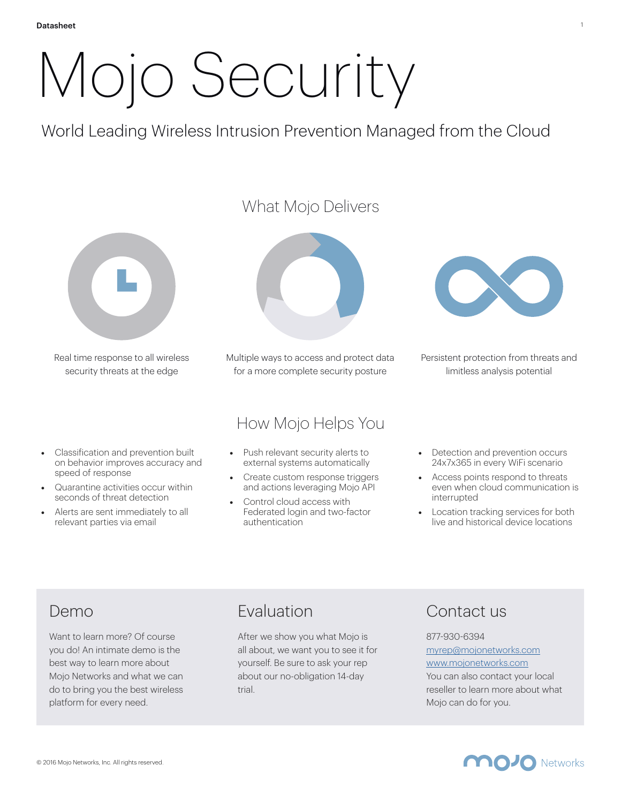# Mojo Security

World Leading Wireless Intrusion Prevention Managed from the Cloud



Real time response to all wireless security threats at the edge

- Classification and prevention built on behavior improves accuracy and speed of response
- Quarantine activities occur within seconds of threat detection
- Alerts are sent immediately to all relevant parties via email



Multiple ways to access and protect data for a more complete security posture

## How Mojo Helps You

- Push relevant security alerts to external systems automatically
- Create custom response triggers and actions leveraging Mojo API
- Control cloud access with Federated login and two-factor authentication



Persistent protection from threats and limitless analysis potential

- Detection and prevention occurs 24x7x365 in every WiFi scenario
- Access points respond to threats even when cloud communication is interrupted
- **Location tracking services for both** live and historical device locations

## Demo

Want to learn more? Of course you do! An intimate demo is the best way to learn more about Mojo Networks and what we can do to bring you the best wireless platform for every need.

## Evaluation

After we show you what Mojo is all about, we want you to see it for yourself. Be sure to ask your rep about our no-obligation 14-day trial.

## Contact us

### 877-930-6394 [myrep@mojonetworks.com](mailto:myrep@mojonetworks.com)

[www.mojonetworks.com](http://www.mojonetworks.com)

You can also contact your local reseller to learn more about what Mojo can do for you.